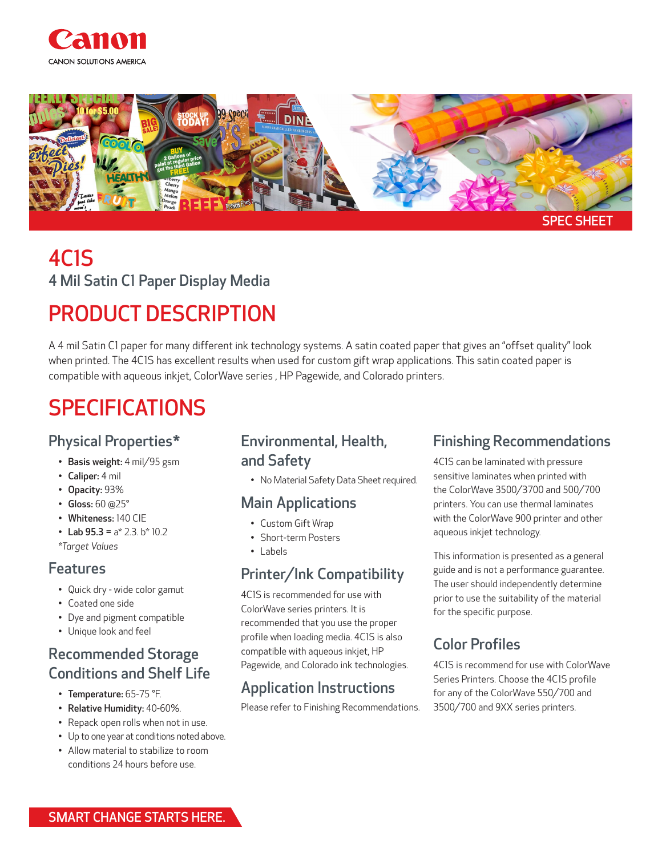



### 4C1S 4 Mil Satin C1 Paper Display Media

# PRODUCT DESCRIPTION

A 4 mil Satin C1 paper for many different ink technology systems. A satin coated paper that gives an "offset quality" look when printed. The 4C1S has excellent results when used for custom gift wrap applications. This satin coated paper is compatible with aqueous inkjet, ColorWave series , HP Pagewide, and Colorado printers.

# SPECIFICATIONS

### Physical Properties\*

- Basis weight: 4 mil/95 gsm
- Caliper: 4 mil
- Opacity: 93%
- Gloss: 60 @25°
- Whiteness: 140 CIE
- Lab  $95.3 = a* 2.3.b* 10.2$

*\*Target Values* 

#### Features

- Quick dry wide color gamut
- Coated one side
- Dye and pigment compatible
- Unique look and feel

### Recommended Storage Conditions and Shelf Life

- Temperature: 65-75 °F.
- Relative Humidity: 40-60%.
- Repack open rolls when not in use.
- Up to one year at conditions noted above.
- Allow material to stabilize to room conditions 24 hours before use.

#### Environmental, Health, and Safety

• No Material Safety Data Sheet required.

#### Main Applications

- Custom Gift Wrap
- Short-term Posters
- Labels

### Printer/Ink Compatibility

4C1S is recommended for use with ColorWave series printers. It is recommended that you use the proper profile when loading media. 4C1S is also compatible with aqueous inkjet, HP Pagewide, and Colorado ink technologies.

### Application Instructions

Please refer to Finishing Recommendations.

#### Finishing Recommendations

4C1S can be laminated with pressure sensitive laminates when printed with the ColorWave 3500/3700 and 500/700 printers. You can use thermal laminates with the ColorWave 900 printer and other aqueous inkjet technology.

This information is presented as a general guide and is not a performance guarantee. The user should independently determine prior to use the suitability of the material for the specific purpose.

### Color Profiles

4C1S is recommend for use with ColorWave Series Printers. Choose the 4C1S profile for any of the ColorWave 550/700 and 3500/700 and 9XX series printers.